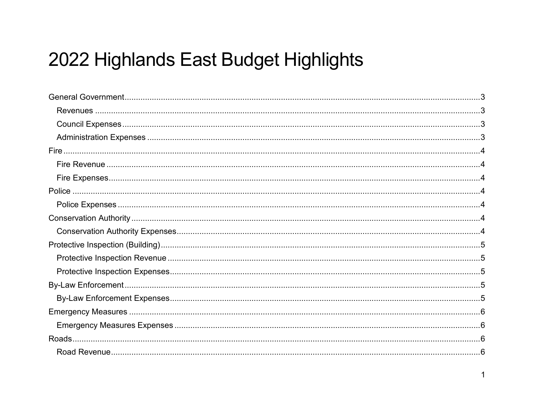# 2022 Highlands East Budget Highlights

 $\mathbf{1}$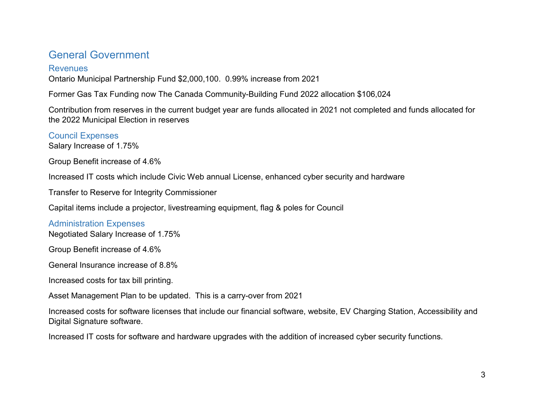# <span id="page-2-0"></span>General Government

#### <span id="page-2-1"></span>**Revenues**

Ontario Municipal Partnership Fund \$2,000,100. 0.99% increase from 2021

Former Gas Tax Funding now The Canada Community-Building Fund 2022 allocation \$106,024

Contribution from reserves in the current budget year are funds allocated in 2021 not completed and funds allocated for the 2022 Municipal Election in reserves

<span id="page-2-2"></span>Council Expenses

Salary Increase of 1.75%

Group Benefit increase of 4.6%

Increased IT costs which include Civic Web annual License, enhanced cyber security and hardware

Transfer to Reserve for Integrity Commissioner

Capital items include a projector, livestreaming equipment, flag & poles for Council

#### <span id="page-2-3"></span>Administration Expenses

Negotiated Salary Increase of 1.75%

Group Benefit increase of 4.6%

General Insurance increase of 8.8%

Increased costs for tax bill printing.

Asset Management Plan to be updated. This is a carry-over from 2021

Increased costs for software licenses that include our financial software, website, EV Charging Station, Accessibility and Digital Signature software.

Increased IT costs for software and hardware upgrades with the addition of increased cyber security functions.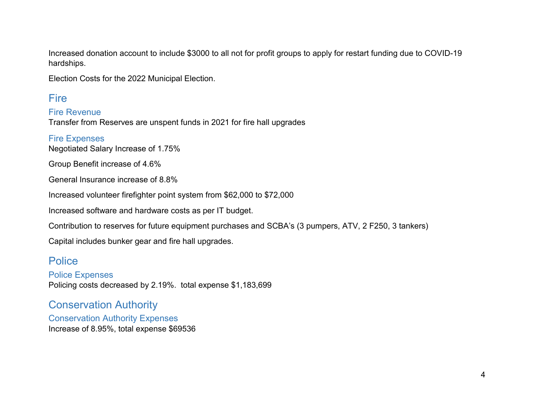Increased donation account to include \$3000 to all not for profit groups to apply for restart funding due to COVID-19 hardships.

Election Costs for the 2022 Municipal Election.

## <span id="page-3-0"></span>Fire

<span id="page-3-1"></span>Fire Revenue Transfer from Reserves are unspent funds in 2021 for fire hall upgrades

<span id="page-3-2"></span>Fire Expenses Negotiated Salary Increase of 1.75%

Group Benefit increase of 4.6%

General Insurance increase of 8.8%

Increased volunteer firefighter point system from \$62,000 to \$72,000

Increased software and hardware costs as per IT budget.

Contribution to reserves for future equipment purchases and SCBA's (3 pumpers, ATV, 2 F250, 3 tankers)

Capital includes bunker gear and fire hall upgrades.

### <span id="page-3-3"></span>Police

<span id="page-3-4"></span>Police Expenses Policing costs decreased by 2.19%. total expense \$1,183,699

## <span id="page-3-5"></span>Conservation Authority

<span id="page-3-6"></span>Conservation Authority Expenses Increase of 8.95%, total expense \$69536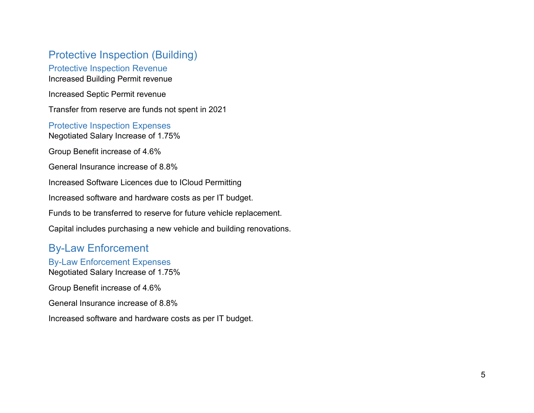## <span id="page-4-0"></span>Protective Inspection (Building)

#### <span id="page-4-1"></span>Protective Inspection Revenue Increased Building Permit revenue

Increased Septic Permit revenue

Transfer from reserve are funds not spent in 2021

### <span id="page-4-2"></span>Protective Inspection Expenses

Negotiated Salary Increase of 1.75%

Group Benefit increase of 4.6%

General Insurance increase of 8.8%

Increased Software Licences due to ICloud Permitting

Increased software and hardware costs as per IT budget.

Funds to be transferred to reserve for future vehicle replacement.

Capital includes purchasing a new vehicle and building renovations.

# <span id="page-4-3"></span>By-Law Enforcement

## <span id="page-4-4"></span>By-Law Enforcement Expenses

Negotiated Salary Increase of 1.75%

Group Benefit increase of 4.6%

General Insurance increase of 8.8%

Increased software and hardware costs as per IT budget.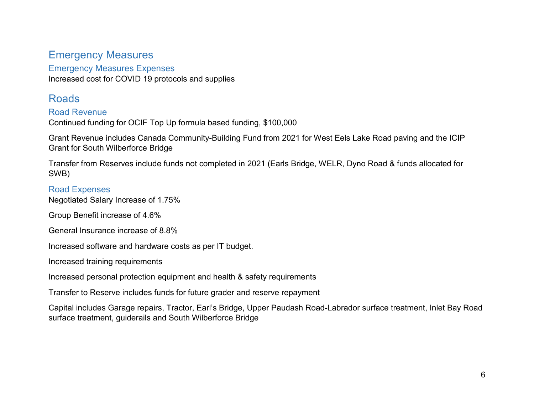## <span id="page-5-0"></span>Emergency Measures

#### <span id="page-5-1"></span>Emergency Measures Expenses

Increased cost for COVID 19 protocols and supplies

## <span id="page-5-2"></span>Roads

#### <span id="page-5-3"></span>Road Revenue

Continued funding for OCIF Top Up formula based funding, \$100,000

Grant Revenue includes Canada Community-Building Fund from 2021 for West Eels Lake Road paving and the ICIP Grant for South Wilberforce Bridge

Transfer from Reserves include funds not completed in 2021 (Earls Bridge, WELR, Dyno Road & funds allocated for SWB)

#### <span id="page-5-4"></span>Road Expenses

Negotiated Salary Increase of 1.75%

Group Benefit increase of 4.6%

General Insurance increase of 8.8%

Increased software and hardware costs as per IT budget.

Increased training requirements

Increased personal protection equipment and health & safety requirements

Transfer to Reserve includes funds for future grader and reserve repayment

Capital includes Garage repairs, Tractor, Earl's Bridge, Upper Paudash Road-Labrador surface treatment, Inlet Bay Road surface treatment, guiderails and South Wilberforce Bridge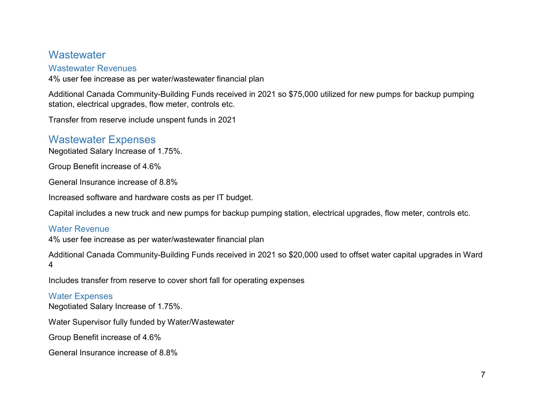## <span id="page-6-0"></span>**Wastewater**

#### <span id="page-6-1"></span>Wastewater Revenues

4% user fee increase as per water/wastewater financial plan

Additional Canada Community-Building Funds received in 2021 so \$75,000 utilized for new pumps for backup pumping station, electrical upgrades, flow meter, controls etc.

Transfer from reserve include unspent funds in 2021

## <span id="page-6-2"></span>Wastewater Expenses

Negotiated Salary Increase of 1.75%.

Group Benefit increase of 4.6%

General Insurance increase of 8.8%

Increased software and hardware costs as per IT budget.

Capital includes a new truck and new pumps for backup pumping station, electrical upgrades, flow meter, controls etc.

#### <span id="page-6-3"></span>Water Revenue

4% user fee increase as per water/wastewater financial plan

Additional Canada Community-Building Funds received in 2021 so \$20,000 used to offset water capital upgrades in Ward 4

Includes transfer from reserve to cover short fall for operating expenses

#### <span id="page-6-4"></span>Water Expenses

Negotiated Salary Increase of 1.75%.

Water Supervisor fully funded by Water/Wastewater

Group Benefit increase of 4.6%

General Insurance increase of 8.8%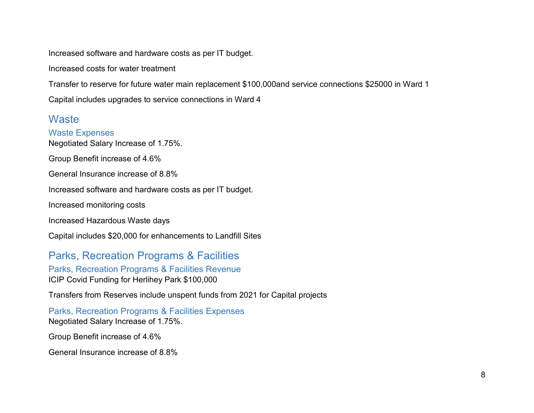Increased software and hardware costs as per IT budget.

Increased costs for water treatment

Transfer to reserve for future water main replacement \$100,000and service connections \$25000 in Ward 1

Capital includes upgrades to service connections in Ward 4

## <span id="page-7-0"></span>**Waste**

<span id="page-7-1"></span>Waste Expenses Negotiated Salary Increase of 1.75%. Group Benefit increase of 4.6% General Insurance increase of 8.8% Increased software and hardware costs as per IT budget. Increased monitoring costs Increased Hazardous Waste days Capital includes \$20,000 for enhancements to Landfill Sites

<span id="page-7-2"></span>Parks, Recreation Programs & Facilities

<span id="page-7-3"></span>Parks, Recreation Programs & Facilities Revenue ICIP Covid Funding for Herlihey Park \$100,000

Transfers from Reserves include unspent funds from 2021 for Capital projects

<span id="page-7-4"></span>Parks, Recreation Programs & Facilities Expenses Negotiated Salary Increase of 1.75%.

Group Benefit increase of 4.6%

General Insurance increase of 8.8%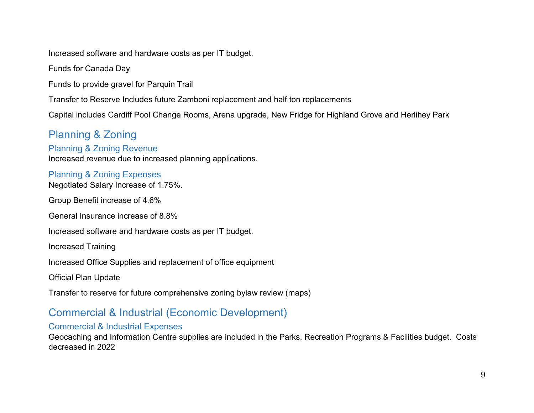Increased software and hardware costs as per IT budget.

Funds for Canada Day

Funds to provide gravel for Parquin Trail

Transfer to Reserve Includes future Zamboni replacement and half ton replacements

Capital includes Cardiff Pool Change Rooms, Arena upgrade, New Fridge for Highland Grove and Herlihey Park

<span id="page-8-1"></span><span id="page-8-0"></span>Planning & Zoning Planning & Zoning Revenue Increased revenue due to increased planning applications.

<span id="page-8-2"></span>Planning & Zoning Expenses Negotiated Salary Increase of 1.75%.

Group Benefit increase of 4.6%

General Insurance increase of 8.8%

Increased software and hardware costs as per IT budget.

Increased Training

Increased Office Supplies and replacement of office equipment

Official Plan Update

Transfer to reserve for future comprehensive zoning bylaw review (maps)

## <span id="page-8-3"></span>Commercial & Industrial (Economic Development)

#### <span id="page-8-4"></span>Commercial & Industrial Expenses

Geocaching and Information Centre supplies are included in the Parks, Recreation Programs & Facilities budget. Costs decreased in 2022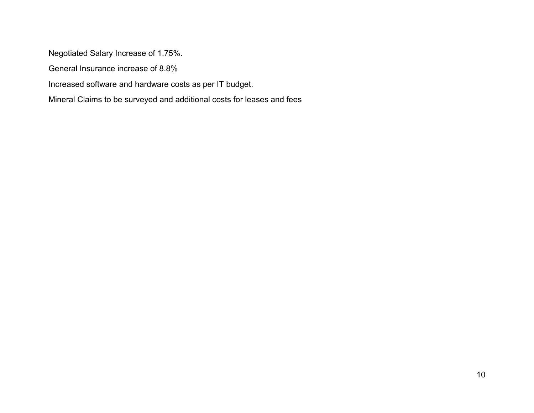Negotiated Salary Increase of 1.75%.

General Insurance increase of 8.8%

Increased software and hardware costs as per IT budget.

Mineral Claims to be surveyed and additional costs for leases and fees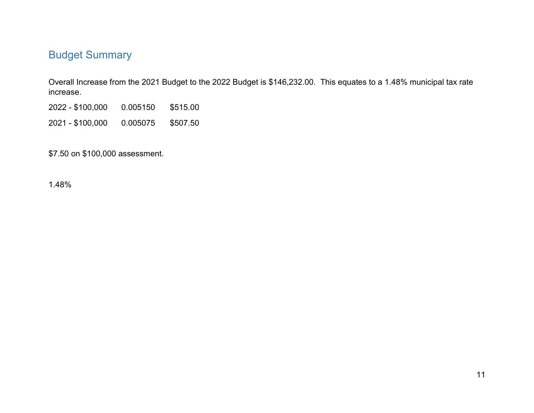# <span id="page-10-0"></span>Budget Summary

Overall Increase from the 2021 Budget to the 2022 Budget is \$146,232.00. This equates to a 1.48% municipal tax rate increase.

2022 - \$100,000 0.005150 \$515.00

2021 - \$100,000 0.005075 \$507.50

\$7.50 on \$100,000 assessment.

1.48%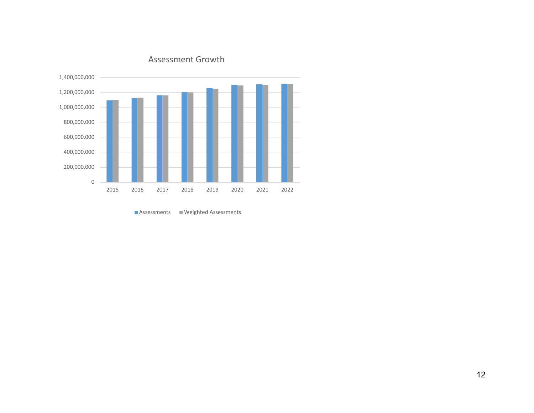

#### Assessment Growth

Assessments Weighted Assessments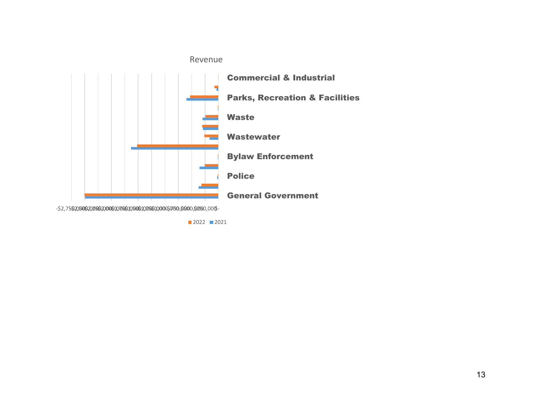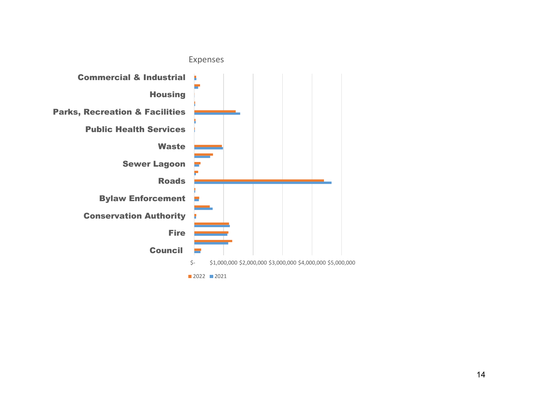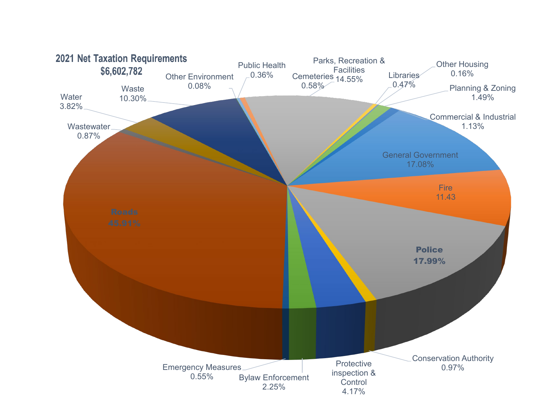